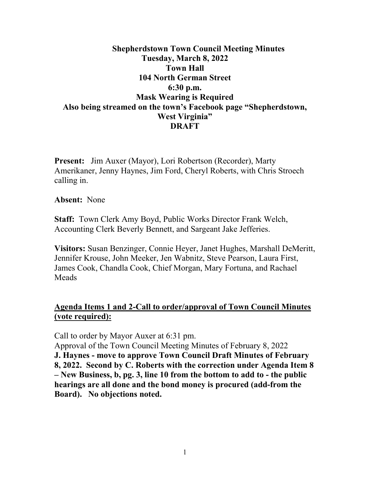# **Shepherdstown Town Council Meeting Minutes Tuesday, March 8, 2022 Town Hall 104 North German Street 6:30 p.m. Mask Wearing is Required Also being streamed on the town's Facebook page "Shepherdstown, West Virginia" DRAFT**

**Present:** Jim Auxer (Mayor), Lori Robertson (Recorder), Marty Amerikaner, Jenny Haynes, Jim Ford, Cheryl Roberts, with Chris Stroech calling in.

**Absent:** None

**Staff:** Town Clerk Amy Boyd, Public Works Director Frank Welch, Accounting Clerk Beverly Bennett, and Sargeant Jake Jefferies.

**Visitors:** Susan Benzinger, Connie Heyer, Janet Hughes, Marshall DeMeritt, Jennifer Krouse, John Meeker, Jen Wabnitz, Steve Pearson, Laura First, James Cook, Chandla Cook, Chief Morgan, Mary Fortuna, and Rachael Meads

# **Agenda Items 1 and 2-Call to order/approval of Town Council Minutes (vote required):**

Call to order by Mayor Auxer at 6:31 pm.

Approval of the Town Council Meeting Minutes of February 8, 2022 **J. Haynes - move to approve Town Council Draft Minutes of February 8, 2022. Second by C. Roberts with the correction under Agenda Item 8 – New Business, b, pg. 3, line 10 from the bottom to add to - the public hearings are all done and the bond money is procured (add-from the Board). No objections noted.**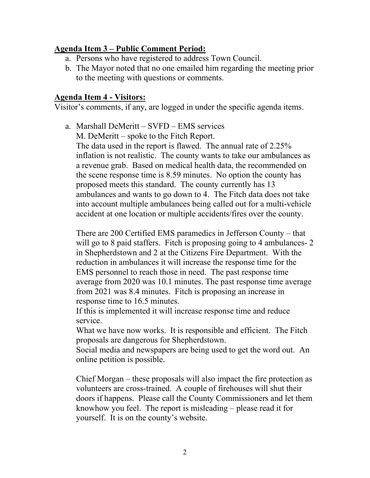#### **Agenda Item 3 – Public Comment Period:**

- a. Persons who have registered to address Town Council.
- b. The Mayor noted that no one emailed him regarding the meeting prior to the meeting with questions or comments.

#### **Agenda Item 4 - Visitors:**

Visitor's comments, if any, are logged in under the specific agenda items.

a. Marshall DeMeritt – SVFD – EMS services M. DeMeritt – spoke to the Fitch Report. The data used in the report is flawed. The annual rate of 2.25% inflation is not realistic. The county wants to take our ambulances as a revenue grab. Based on medical health data, the recommended on the scene response time is 8.59 minutes. No option the county has proposed meets this standard. The county currently has 13 ambulances and wants to go down to 4. The Fitch data does not take into account multiple ambulances being called out for a multi-vehicle accident at one location or multiple accidents/fires over the county.

There are 200 Certified EMS paramedics in Jefferson County – that will go to 8 paid staffers. Fitch is proposing going to 4 ambulances- 2 in Shepherdstown and 2 at the Citizens Fire Department. With the reduction in ambulances it will increase the response time for the EMS personnel to reach those in need. The past response time average from 2020 was 10.1 minutes. The past response time average from 2021 was 8.4 minutes. Fitch is proposing an increase in response time to 16.5 minutes.

If this is implemented it will increase response time and reduce service.

What we have now works. It is responsible and efficient. The Fitch proposals are dangerous for Shepherdstown.

Social media and newspapers are being used to get the word out. An online petition is possible.

Chief Morgan – these proposals will also impact the fire protection as volunteers are cross-trained. A couple of firehouses will shut their doors if happens. Please call the County Commissioners and let them knowhow you feel. The report is misleading – please read it for yourself. It is on the county's website.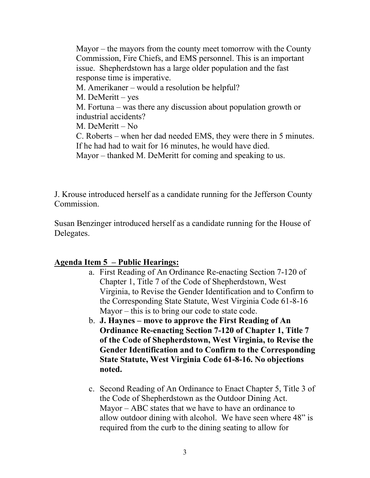Mayor – the mayors from the county meet tomorrow with the County Commission, Fire Chiefs, and EMS personnel. This is an important issue. Shepherdstown has a large older population and the fast response time is imperative. M. Amerikaner – would a resolution be helpful? M. DeMeritt – yes M. Fortuna – was there any discussion about population growth or industrial accidents? M. DeMeritt – No C. Roberts – when her dad needed EMS, they were there in 5 minutes. If he had had to wait for 16 minutes, he would have died. Mayor – thanked M. DeMeritt for coming and speaking to us.

J. Krouse introduced herself as a candidate running for the Jefferson County Commission.

Susan Benzinger introduced herself as a candidate running for the House of Delegates.

#### **Agenda Item 5 – Public Hearings:**

- a. First Reading of An Ordinance Re-enacting Section 7-120 of Chapter 1, Title 7 of the Code of Shepherdstown, West Virginia, to Revise the Gender Identification and to Confirm to the Corresponding State Statute, West Virginia Code 61-8-16 Mayor – this is to bring our code to state code.
- b. **J. Haynes move to approve the First Reading of An Ordinance Re-enacting Section 7-120 of Chapter 1, Title 7 of the Code of Shepherdstown, West Virginia, to Revise the Gender Identification and to Confirm to the Corresponding State Statute, West Virginia Code 61-8-16. No objections noted.**
- c. Second Reading of An Ordinance to Enact Chapter 5, Title 3 of the Code of Shepherdstown as the Outdoor Dining Act. Mayor – ABC states that we have to have an ordinance to allow outdoor dining with alcohol. We have seen where 48" is required from the curb to the dining seating to allow for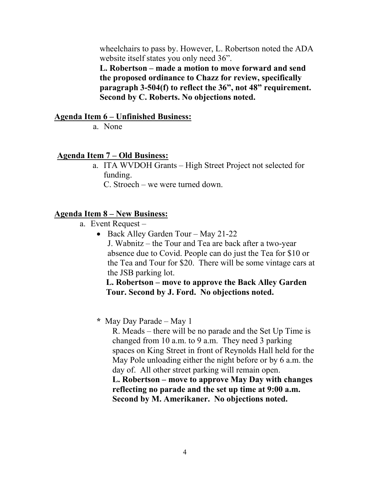wheelchairs to pass by. However, L. Robertson noted the ADA website itself states you only need 36".

**L. Robertson – made a motion to move forward and send the proposed ordinance to Chazz for review, specifically paragraph 3-504(f) to reflect the 36", not 48" requirement. Second by C. Roberts. No objections noted.**

#### **Agenda Item 6 – Unfinished Business:**

a. None

#### **Agenda Item 7 – Old Business:**

a. ITA WVDOH Grants – High Street Project not selected for funding.

C. Stroech – we were turned down.

#### **Agenda Item 8 – New Business:**

- a. Event Request
	- Back Alley Garden Tour May 21-22 J. Wabnitz – the Tour and Tea are back after a two-year absence due to Covid. People can do just the Tea for \$10 or the Tea and Tour for \$20. There will be some vintage cars at the JSB parking lot.

#### **L. Robertson – move to approve the Back Alley Garden Tour. Second by J. Ford. No objections noted.**

#### **\*** May Day Parade – May 1

R. Meads – there will be no parade and the Set Up Time is changed from 10 a.m. to 9 a.m. They need 3 parking spaces on King Street in front of Reynolds Hall held for the May Pole unloading either the night before or by 6 a.m. the day of. All other street parking will remain open.

**L. Robertson – move to approve May Day with changes reflecting no parade and the set up time at 9:00 a.m. Second by M. Amerikaner. No objections noted.**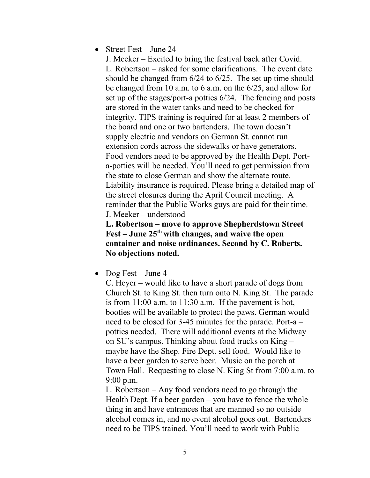• Street Fest – June 24

J. Meeker – Excited to bring the festival back after Covid. L. Robertson – asked for some clarifications. The event date should be changed from 6/24 to 6/25. The set up time should be changed from 10 a.m. to 6 a.m. on the 6/25, and allow for set up of the stages/port-a potties 6/24. The fencing and posts are stored in the water tanks and need to be checked for integrity. TIPS training is required for at least 2 members of the board and one or two bartenders. The town doesn't supply electric and vendors on German St. cannot run extension cords across the sidewalks or have generators. Food vendors need to be approved by the Health Dept. Porta-potties will be needed. You'll need to get permission from the state to close German and show the alternate route. Liability insurance is required. Please bring a detailed map of the street closures during the April Council meeting. A reminder that the Public Works guys are paid for their time. J. Meeker – understood

**L. Robertson – move to approve Shepherdstown Street Fest – June 25th with changes, and waive the open container and noise ordinances. Second by C. Roberts. No objections noted.**

• Dog Fest – June 4

C. Heyer – would like to have a short parade of dogs from Church St. to King St. then turn onto N. King St. The parade is from 11:00 a.m. to 11:30 a.m. If the pavement is hot, booties will be available to protect the paws. German would need to be closed for 3-45 minutes for the parade. Port-a – potties needed. There will additional events at the Midway on SU's campus. Thinking about food trucks on King – maybe have the Shep. Fire Dept. sell food. Would like to have a beer garden to serve beer. Music on the porch at Town Hall. Requesting to close N. King St from 7:00 a.m. to 9:00 p.m.

L. Robertson – Any food vendors need to go through the Health Dept. If a beer garden – you have to fence the whole thing in and have entrances that are manned so no outside alcohol comes in, and no event alcohol goes out. Bartenders need to be TIPS trained. You'll need to work with Public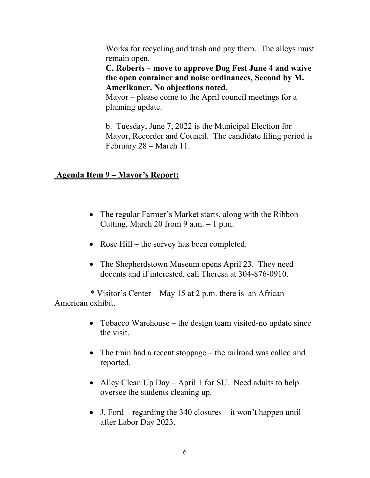Works for recycling and trash and pay them. The alleys must remain open.

**C. Roberts – move to approve Dog Fest June 4 and waive the open container and noise ordinances, Second by M. Amerikaner. No objections noted.**

Mayor – please come to the April council meetings for a planning update.

b. Tuesday, June 7, 2022 is the Municipal Election for Mayor, Recorder and Council. The candidate filing period is February 28 – March 11.

# **Agenda Item 9 – Mayor's Report:**

- The regular Farmer's Market starts, along with the Ribbon Cutting, March 20 from 9 a.m.  $-1$  p.m.
- Rose Hill the survey has been completed.
- The Shepherdstown Museum opens April 23. They need docents and if interested, call Theresa at 304-876-0910.

 \* Visitor's Center – May 15 at 2 p.m. there is an African American exhibit.

- Tobacco Warehouse the design team visited-no update since the visit.
- The train had a recent stoppage the railroad was called and reported.
- Alley Clean Up Day April 1 for SU. Need adults to help oversee the students cleaning up.
- J. Ford regarding the  $340$  closures it won't happen until after Labor Day 2023.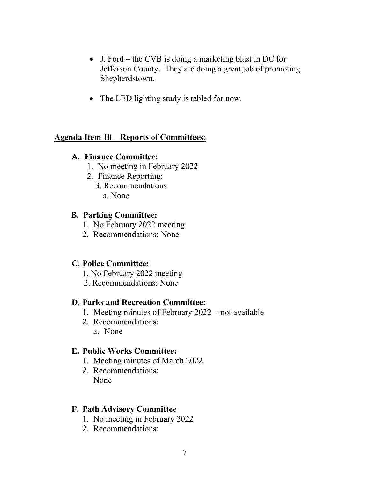- J. Ford the CVB is doing a marketing blast in DC for Jefferson County. They are doing a great job of promoting Shepherdstown.
- The LED lighting study is tabled for now.

# **Agenda Item 10 – Reports of Committees:**

# **A. Finance Committee:**

- 1. No meeting in February 2022
- 2. Finance Reporting:
	- 3. Recommendations a. None

#### **B. Parking Committee:**

- 1. No February 2022 meeting
- 2. Recommendations: None

# **C. Police Committee:**

- 1. No February 2022 meeting
- 2. Recommendations: None

# **D. Parks and Recreation Committee:**

- 1. Meeting minutes of February 2022 not available
- 2. Recommendations: a. None

# **E. Public Works Committee:**

- 1. Meeting minutes of March 2022
- 2. Recommendations: None

# **F. Path Advisory Committee**

- 1. No meeting in February 2022
- 2. Recommendations: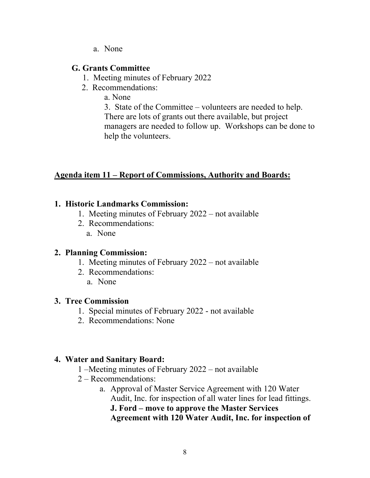a. None

#### **G. Grants Committee**

- 1. Meeting minutes of February 2022
- 2. Recommendations:

a. None

3. State of the Committee – volunteers are needed to help. There are lots of grants out there available, but project managers are needed to follow up. Workshops can be done to help the volunteers.

# **Agenda item 11 – Report of Commissions, Authority and Boards:**

# **1. Historic Landmarks Commission:**

- 1. Meeting minutes of February 2022 not available
- 2. Recommendations:
	- a. None

# **2. Planning Commission:**

- 1. Meeting minutes of February 2022 not available
- 2. Recommendations:
	- a. None

# **3. Tree Commission**

- 1. Special minutes of February 2022 not available
- 2. Recommendations: None

# **4. Water and Sanitary Board:**

- 1 –Meeting minutes of February 2022 not available
- 2 Recommendations:
	- a. Approval of Master Service Agreement with 120 Water Audit, Inc. for inspection of all water lines for lead fittings. **J. Ford – move to approve the Master Services Agreement with 120 Water Audit, Inc. for inspection of**